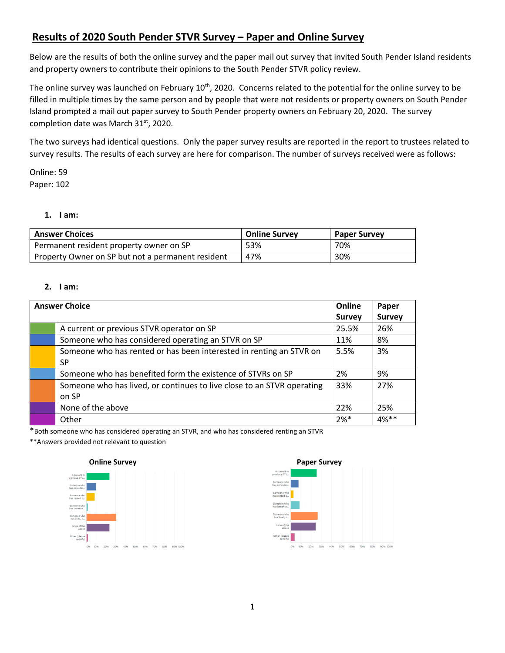# **Results of 2020 South Pender STVR Survey – Paper and Online Survey**

Below are the results of both the online survey and the paper mail out survey that invited South Pender Island residents and property owners to contribute their opinions to the South Pender STVR policy review.

The online survey was launched on February 10<sup>th</sup>, 2020. Concerns related to the potential for the online survey to be filled in multiple times by the same person and by people that were not residents or property owners on South Pender Island prompted a mail out paper survey to South Pender property owners on February 20, 2020. The survey completion date was March 31<sup>st</sup>, 2020.

The two surveys had identical questions. Only the paper survey results are reported in the report to trustees related to survey results. The results of each survey are here for comparison. The number of surveys received were as follows:

Online: 59 Paper: 102

# **1. I am:**

| <b>Answer Choices</b>                             | <b>Online Survey</b> | <b>Paper Survey</b> |
|---------------------------------------------------|----------------------|---------------------|
| Permanent resident property owner on SP           | 53%                  | 70%                 |
| Property Owner on SP but not a permanent resident | 47%                  | 30%                 |

## **2. I am:**

| <b>Answer Choice</b>                                                   | Online        | Paper         |
|------------------------------------------------------------------------|---------------|---------------|
|                                                                        | <b>Survey</b> | <b>Survey</b> |
| A current or previous STVR operator on SP                              | 25.5%         | 26%           |
| Someone who has considered operating an STVR on SP                     | 11%           | 8%            |
| Someone who has rented or has been interested in renting an STVR on    | 5.5%          | 3%            |
| SP                                                                     |               |               |
| Someone who has benefited form the existence of STVRs on SP            | 2%            | 9%            |
| Someone who has lived, or continues to live close to an STVR operating | 33%           | 27%           |
| on SP                                                                  |               |               |
| None of the above                                                      | 22%           | 25%           |
| Other                                                                  | $2%$ *        | $4%***$       |

\*Both someone who has considered operating an STVR, and who has considered renting an STVR

\*\*Answers provided not relevant to question



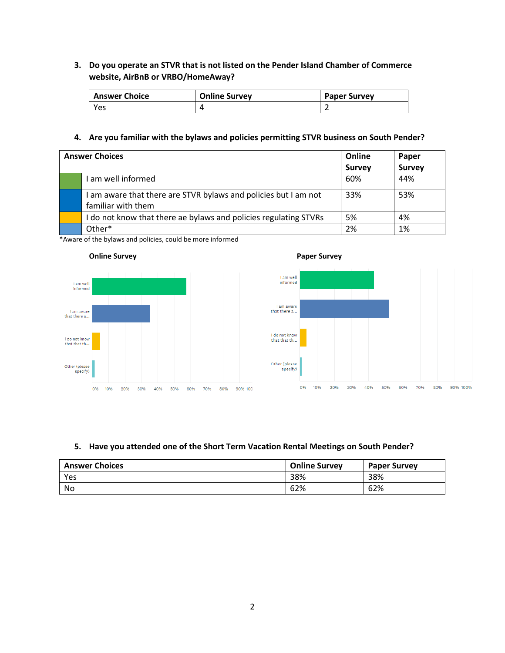# **3. Do you operate an STVR that is not listed on the Pender Island Chamber of Commerce website, AirBnB or VRBO/HomeAway?**

| <b>Answer Choice</b> | <b>Online Survey</b> | <b>Paper Survey</b> |
|----------------------|----------------------|---------------------|
| Yes                  |                      |                     |

## **4. Are you familiar with the bylaws and policies permitting STVR business on South Pender?**

| <b>Answer Choices</b>                                          |               | Paper         |
|----------------------------------------------------------------|---------------|---------------|
|                                                                | <b>Survey</b> | <b>Survey</b> |
| am well informed                                               | 60%           | 44%           |
| am aware that there are STVR bylaws and policies but I am not  | 33%           | 53%           |
| familiar with them                                             |               |               |
| do not know that there ae bylaws and policies regulating STVRs | 5%            | 4%            |
| Other*                                                         | 2%            | 1%            |

\*Aware of the bylaws and policies, could be more informed





## **5. Have you attended one of the Short Term Vacation Rental Meetings on South Pender?**

| <b>Answer Choices</b> | <b>Online Survey</b> | <b>Paper Survey</b> |
|-----------------------|----------------------|---------------------|
| Yes                   | 38%                  | 38%                 |
| No                    | 62%                  | 62%                 |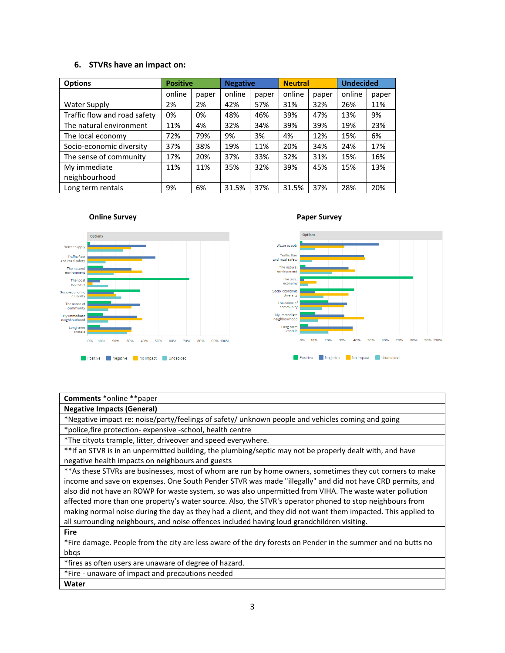## **6. STVRs have an impact on:**

| <b>Options</b>               | <b>Positive</b> |       | <b>Negative</b> |       | <b>Neutral</b> | <b>Undecided</b> |        |       |
|------------------------------|-----------------|-------|-----------------|-------|----------------|------------------|--------|-------|
|                              | online          | paper | online          | paper | online         | paper            | online | paper |
| <b>Water Supply</b>          | 2%              | 2%    | 42%             | 57%   | 31%            | 32%              | 26%    | 11%   |
| Traffic flow and road safety | 0%              | 0%    | 48%             | 46%   | 39%            | 47%              | 13%    | 9%    |
| The natural environment      | 11%             | 4%    | 32%             | 34%   | 39%            | 39%              | 19%    | 23%   |
| The local economy            | 72%             | 79%   | 9%              | 3%    | 4%             | 12%              | 15%    | 6%    |
| Socio-economic diversity     | 37%             | 38%   | 19%             | 11%   | 20%            | 34%              | 24%    | 17%   |
| The sense of community       | 17%             | 20%   | 37%             | 33%   | 32%            | 31%              | 15%    | 16%   |
| My immediate                 | 11%             | 11%   | 35%             | 32%   | 39%            | 45%              | 15%    | 13%   |
| neighbourhood                |                 |       |                 |       |                |                  |        |       |
| Long term rentals            | 9%              | 6%    | 31.5%           | 37%   | 31.5%          | 37%              | 28%    | 20%   |



### **Comments** \*online \*\*paper

**Negative Impacts (General)**

\*Negative impact re: noise/party/feelings of safety/ unknown people and vehicles coming and going

\*police,fire protection- expensive -school, health centre

\*The cityots trample, litter, driveover and speed everywhere.

\*\*If an STVR is in an unpermitted building, the plumbing/septic may not be properly dealt with, and have negative health impacts on neighbours and guests

\*\*As these STVRs are businesses, most of whom are run by home owners, sometimes they cut corners to make income and save on expenses. One South Pender STVR was made "illegally" and did not have CRD permits, and also did not have an ROWP for waste system, so was also unpermitted from VIHA. The waste water pollution affected more than one property's water source. Also, the STVR's operator phoned to stop neighbours from making normal noise during the day as they had a client, and they did not want them impacted. This applied to all surrounding neighbours, and noise offences included having loud grandchildren visiting.

**Fire**

\*Fire damage. People from the city are less aware of the dry forests on Pender in the summer and no butts no bbqs

\*fires as often users are unaware of degree of hazard.

\*Fire - unaware of impact and precautions needed

**Water**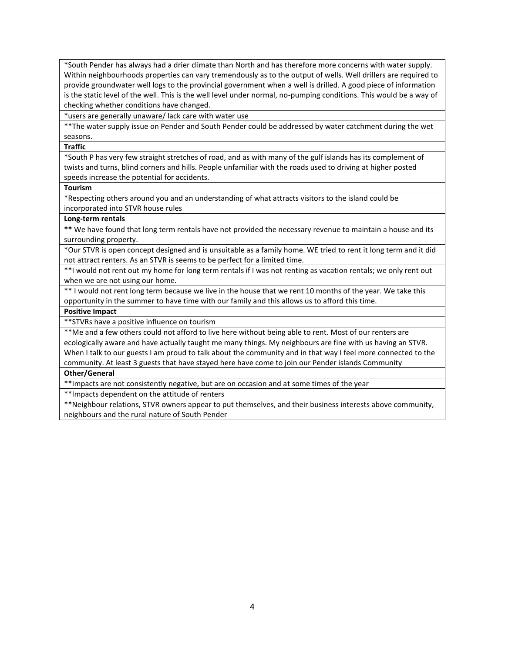\*South Pender has always had a drier climate than North and has therefore more concerns with water supply. Within neighbourhoods properties can vary tremendously as to the output of wells. Well drillers are required to provide groundwater well logs to the provincial government when a well is drilled. A good piece of information is the static level of the well. This is the well level under normal, no-pumping conditions. This would be a way of checking whether conditions have changed.

\*users are generally unaware/ lack care with water use

\*\*The water supply issue on Pender and South Pender could be addressed by water catchment during the wet seasons.

**Traffic**

\*South P has very few straight stretches of road, and as with many of the gulf islands has its complement of twists and turns, blind corners and hills. People unfamiliar with the roads used to driving at higher posted speeds increase the potential for accidents.

#### **Tourism**

\*Respecting others around you and an understanding of what attracts visitors to the island could be incorporated into STVR house rules

### **Long-term rentals**

**\*\*** We have found that long term rentals have not provided the necessary revenue to maintain a house and its surrounding property.

\*Our STVR is open concept designed and is unsuitable as a family home. WE tried to rent it long term and it did not attract renters. As an STVR is seems to be perfect for a limited time.

\*\*I would not rent out my home for long term rentals if I was not renting as vacation rentals; we only rent out when we are not using our home.

\*\* I would not rent long term because we live in the house that we rent 10 months of the year. We take this opportunity in the summer to have time with our family and this allows us to afford this time.

## **Positive Impact**

\*\*STVRs have a positive influence on tourism

\*\*Me and a few others could not afford to live here without being able to rent. Most of our renters are ecologically aware and have actually taught me many things. My neighbours are fine with us having an STVR. When I talk to our guests I am proud to talk about the community and in that way I feel more connected to the community. At least 3 guests that have stayed here have come to join our Pender islands Community

## **Other/General**

\*\*Impacts are not consistently negative, but are on occasion and at some times of the year

\*\*Impacts dependent on the attitude of renters

\*\*Neighbour relations, STVR owners appear to put themselves, and their business interests above community, neighbours and the rural nature of South Pender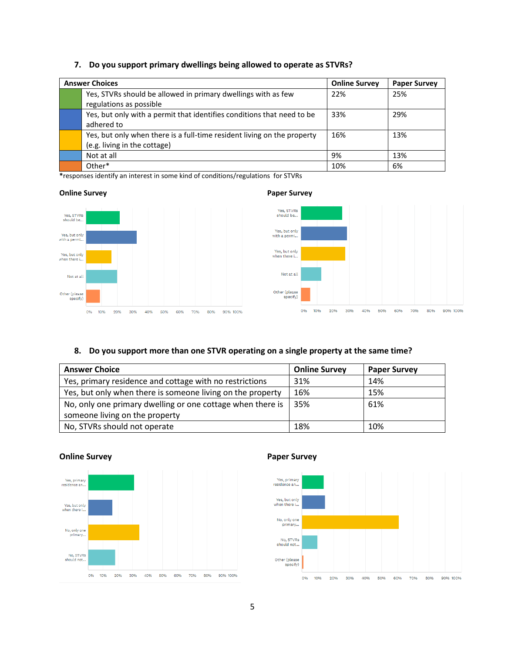# **7. Do you support primary dwellings being allowed to operate as STVRs?**

| <b>Answer Choices</b> |                                                                         | <b>Online Survey</b> | <b>Paper Survey</b> |
|-----------------------|-------------------------------------------------------------------------|----------------------|---------------------|
|                       | Yes, STVRs should be allowed in primary dwellings with as few           | 22%                  | 25%                 |
|                       | regulations as possible                                                 |                      |                     |
|                       | Yes, but only with a permit that identifies conditions that need to be  | 33%                  | 29%                 |
|                       | adhered to                                                              |                      |                     |
|                       | Yes, but only when there is a full-time resident living on the property | 16%                  | 13%                 |
|                       | (e.g. living in the cottage)                                            |                      |                     |
|                       | Not at all                                                              | 9%                   | 13%                 |
|                       | Other*                                                                  | 10%                  | 6%                  |

**\***responses identify an interest in some kind of conditions/regulations for STVRs

## **Online Survey Paper Survey**





## **8. Do you support more than one STVR operating on a single property at the same time?**

| <b>Answer Choice</b>                                       | <b>Online Survey</b> | <b>Paper Survey</b> |
|------------------------------------------------------------|----------------------|---------------------|
| Yes, primary residence and cottage with no restrictions    | 31%                  | 14%                 |
| Yes, but only when there is someone living on the property | 16%                  | 15%                 |
| No, only one primary dwelling or one cottage when there is | 35%                  | 61%                 |
| someone living on the property                             |                      |                     |
| No, STVRs should not operate                               | 18%                  | 10%                 |



## **Online Survey Paper Survey**

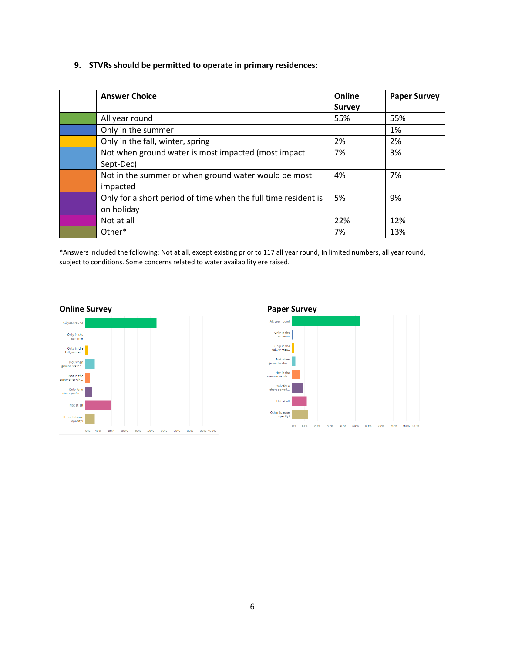# **9. STVRs should be permitted to operate in primary residences:**

| <b>Answer Choice</b>                                           | Online        | <b>Paper Survey</b> |
|----------------------------------------------------------------|---------------|---------------------|
|                                                                | <b>Survey</b> |                     |
| All year round                                                 | 55%           | 55%                 |
| Only in the summer                                             |               | 1%                  |
| Only in the fall, winter, spring                               | 2%            | 2%                  |
| Not when ground water is most impacted (most impact            | 7%            | 3%                  |
| Sept-Dec)                                                      |               |                     |
| Not in the summer or when ground water would be most           | 4%            | 7%                  |
| impacted                                                       |               |                     |
| Only for a short period of time when the full time resident is | 5%            | 9%                  |
| on holiday                                                     |               |                     |
| Not at all                                                     | 22%           | 12%                 |
| Other*                                                         | 7%            | 13%                 |

\*Answers included the following: Not at all, except existing prior to 117 all year round, In limited numbers, all year round, subject to conditions. Some concerns related to water availability ere raised.



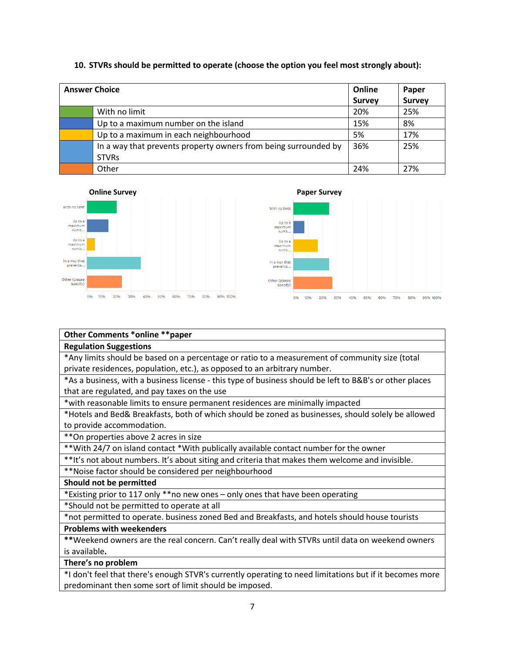## **10. STVRs should be permitted to operate (choose the option you feel most strongly about):**

| <b>Answer Choice</b>                                            |               | Paper         |
|-----------------------------------------------------------------|---------------|---------------|
|                                                                 | <b>Survey</b> | <b>Survey</b> |
| With no limit                                                   | 20%           | 25%           |
| Up to a maximum number on the island                            | 15%           | 8%            |
| Up to a maximum in each neighbourhood                           | 5%            | 17%           |
| In a way that prevents property owners from being surrounded by | 36%           | 25%           |
| <b>STVRs</b>                                                    |               |               |
| Other                                                           | 24%           | 27%           |





# **Other Comments \*online \*\*paper**

## **Regulation Suggestions**

\*Any limits should be based on a percentage or ratio to a measurement of community size (total private residences, population, etc.), as opposed to an arbitrary number.

\*As a business, with a business license - this type of business should be left to B&B's or other places that are regulated, and pay taxes on the use

\*with reasonable limits to ensure permanent residences are minimally impacted

\*Hotels and Bed& Breakfasts, both of which should be zoned as businesses, should solely be allowed to provide accommodation.

\*\*On properties above 2 acres in size

\*\*With 24/7 on island contact \*With publically available contact number for the owner

\*\*It's not about numbers. It's about siting and criteria that makes them welcome and invisible.

\*\*Noise factor should be considered per neighbourhood

**Should not be permitted**

\*Existing prior to 117 only \*\*no new ones – only ones that have been operating

\*Should not be permitted to operate at all

\*not permitted to operate. business zoned Bed and Breakfasts, and hotels should house tourists

**Problems with weekenders**

**\*\***Weekend owners are the real concern. Can't really deal with STVRs until data on weekend owners is available**.**

**There's no problem**

\*I don't feel that there's enough STVR's currently operating to need limitations but if it becomes more predominant then some sort of limit should be imposed.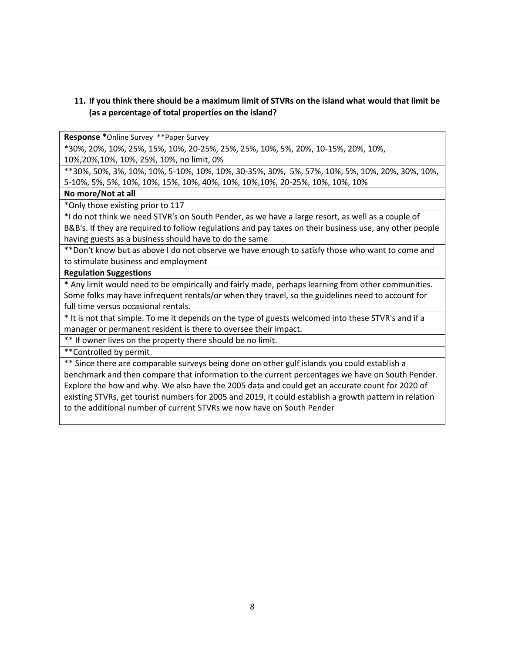# **11. If you think there should be a maximum limit of STVRs on the island what would that limit be (as a percentage of total properties on the island?**

**Response \***Online Survey \*\*Paper Survey

\*30%, 20%, 10%, 25%, 15%, 10%, 20-25%, 25%, 25%, 10%, 5%, 20%, 10-15%, 20%, 10%,

10%,20%,10%, 10%, 25%, 10%, no limit, 0%

\*\*30%, 50%, 3%, 10%, 10%, 5-10%, 10%, 10%, 30-35%, 30%, 5%, 57%, 10%, 5%, 10%, 20%, 30%, 10%, 5-10%, 5%, 5%, 10%, 10%, 15%, 10%, 40%, 10%, 10%,10%, 20-25%, 10%, 10%, 10%

## **No more/Not at all**

\*Only those existing prior to 117

\*I do not think we need STVR's on South Pender, as we have a large resort, as well as a couple of B&B's. If they are required to follow regulations and pay taxes on their business use, any other people having guests as a business should have to do the same

\*\*Don't know but as above I do not observe we have enough to satisfy those who want to come and to stimulate business and employment

**Regulation Suggestions**

**\*** Any limit would need to be empirically and fairly made, perhaps learning from other communities. Some folks may have infrequent rentals/or when they travel, so the guidelines need to account for full time versus occasional rentals.

\* It is not that simple. To me it depends on the type of guests welcomed into these STVR's and if a manager or permanent resident is there to oversee their impact.

\*\* If owner lives on the property there should be no limit.

\*\*Controlled by permit

\*\* Since there are comparable surveys being done on other gulf islands you could establish a benchmark and then compare that information to the current percentages we have on South Pender. Explore the how and why. We also have the 2005 data and could get an accurate count for 2020 of existing STVRs, get tourist numbers for 2005 and 2019, it could establish a growth pattern in relation to the additional number of current STVRs we now have on South Pender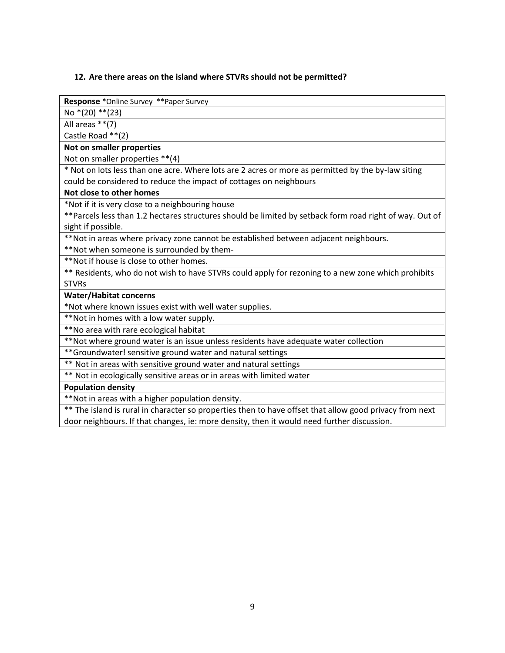## **12. Are there areas on the island where STVRs should not be permitted?**

**Response** \*Online Survey \*\*Paper Survey

No \*(20) \*\*(23)

All areas \*\*(7)

Castle Road \*\*(2)

**Not on smaller properties**

Not on smaller properties \*\*(4)

\* Not on lots less than one acre. Where lots are 2 acres or more as permitted by the by-law siting could be considered to reduce the impact of cottages on neighbours

## **Not close to other homes**

\*Not if it is very close to a neighbouring house

\*\*Parcels less than 1.2 hectares structures should be limited by setback form road right of way. Out of sight if possible.

\*\*Not in areas where privacy zone cannot be established between adjacent neighbours.

\*\*Not when someone is surrounded by them-

\*\*Not if house is close to other homes.

\*\* Residents, who do not wish to have STVRs could apply for rezoning to a new zone which prohibits STVRs

**Water/Habitat concerns**

\*Not where known issues exist with well water supplies.

\*\*Not in homes with a low water supply.

\*\*No area with rare ecological habitat

\*\*Not where ground water is an issue unless residents have adequate water collection

\*\*Groundwater! sensitive ground water and natural settings

\*\* Not in areas with sensitive ground water and natural settings

\*\* Not in ecologically sensitive areas or in areas with limited water

## **Population density**

\*\*Not in areas with a higher population density.

\*\* The island is rural in character so properties then to have offset that allow good privacy from next door neighbours. If that changes, ie: more density, then it would need further discussion.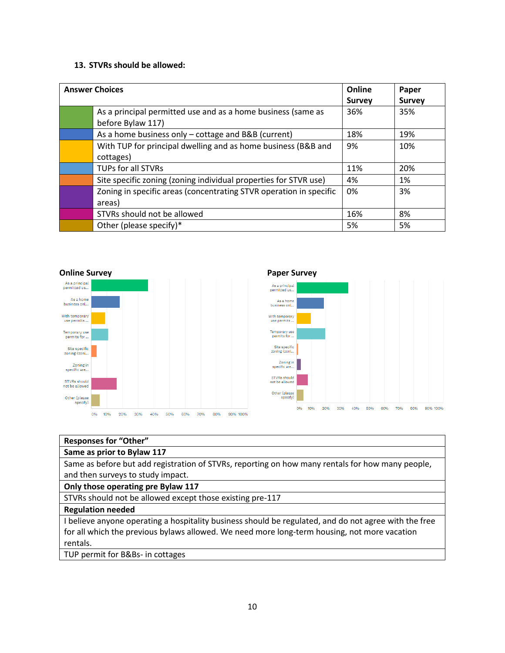# **13. STVRs should be allowed:**

| <b>Answer Choices</b>                                                             | Online<br><b>Survey</b> | Paper<br><b>Survey</b> |
|-----------------------------------------------------------------------------------|-------------------------|------------------------|
| As a principal permitted use and as a home business (same as<br>before Bylaw 117) | 36%                     | 35%                    |
| As a home business only – cottage and B&B (current)                               | 18%                     | 19%                    |
| With TUP for principal dwelling and as home business (B&B and<br>cottages)        | 9%                      | 10%                    |
| <b>TUPs for all STVRs</b>                                                         | 11%                     | 20%                    |
| Site specific zoning (zoning individual properties for STVR use)                  | 4%                      | 1%                     |
| Zoning in specific areas (concentrating STVR operation in specific<br>areas)      | 0%                      | 3%                     |
| STVRs should not be allowed                                                       | 16%                     | 8%                     |
| Other (please specify)*                                                           | 5%                      | 5%                     |



| <b>Responses for "Other"</b>                                                                        |
|-----------------------------------------------------------------------------------------------------|
| Same as prior to Bylaw 117                                                                          |
| Same as before but add registration of STVRs, reporting on how many rentals for how many people,    |
| and then surveys to study impact.                                                                   |
| Only those operating pre Bylaw 117                                                                  |
| STVRs should not be allowed except those existing pre-117                                           |
| <b>Regulation needed</b>                                                                            |
| believe anyone operating a hospitality business should be regulated, and do not agree with the free |
| for all which the previous bylaws allowed. We need more long-term housing, not more vacation        |
| rentals.                                                                                            |
|                                                                                                     |

TUP permit for B&Bs- in cottages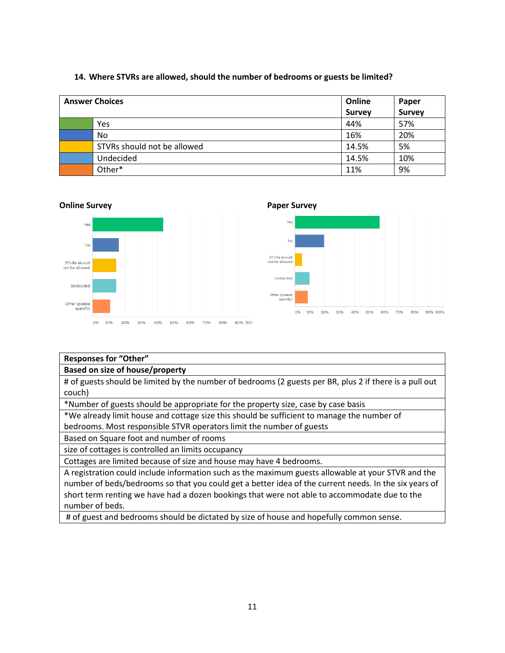| <b>Answer Choices</b> |                             | Online        | Paper         |
|-----------------------|-----------------------------|---------------|---------------|
|                       |                             | <b>Survey</b> | <b>Survey</b> |
|                       | Yes                         | 44%           | 57%           |
|                       | No                          | 16%           | 20%           |
|                       | STVRs should not be allowed | 14.5%         | 5%            |
|                       | Undecided                   | 14.5%         | 10%           |
|                       | Other*                      | 11%           | 9%            |

## **14. Where STVRs are allowed, should the number of bedrooms or guests be limited?**





# **Responses for "Other"**

# **Based on size of house/property**

# of guests should be limited by the number of bedrooms (2 guests per BR, plus 2 if there is a pull out couch)

20% 30% 40% 80% 90% 100%

70%

50% 60%

\*Number of guests should be appropriate for the property size, case by case basis

\*We already limit house and cottage size this should be sufficient to manage the number of bedrooms. Most responsible STVR operators limit the number of guests

Based on Square foot and number of rooms

size of cottages is controlled an limits occupancy

Cottages are limited because of size and house may have 4 bedrooms.

A registration could include information such as the maximum guests allowable at your STVR and the number of beds/bedrooms so that you could get a better idea of the current needs. In the six years of short term renting we have had a dozen bookings that were not able to accommodate due to the number of beds.

# of guest and bedrooms should be dictated by size of house and hopefully common sense.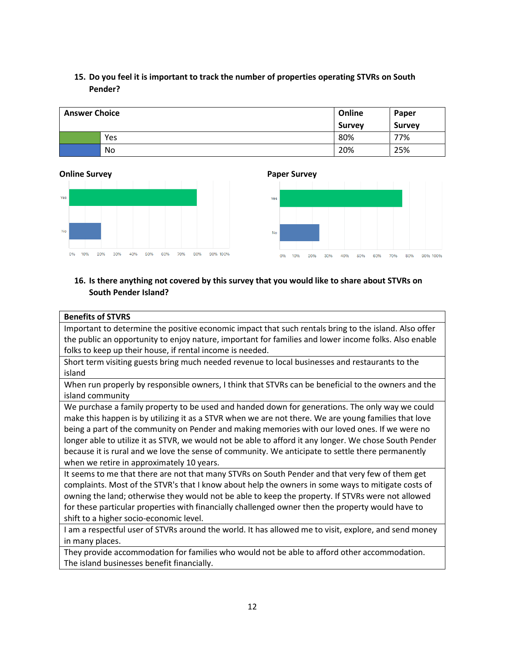# **15. Do you feel it is important to track the number of properties operating STVRs on South Pender?**

| <b>Answer Choice</b> |     | Online        | Paper         |
|----------------------|-----|---------------|---------------|
|                      |     | <b>Survey</b> | <b>Survey</b> |
|                      | Yes | 80%           | 77%           |
|                      | No  | 20%           | 25%           |

## **Online Survey Paper Survey**





# **16. Is there anything not covered by this survey that you would like to share about STVRs on South Pender Island?**

## **Benefits of STVRS**

Important to determine the positive economic impact that such rentals bring to the island. Also offer the public an opportunity to enjoy nature, important for families and lower income folks. Also enable folks to keep up their house, if rental income is needed.

Short term visiting guests bring much needed revenue to local businesses and restaurants to the island

When run properly by responsible owners, I think that STVRs can be beneficial to the owners and the island community

We purchase a family property to be used and handed down for generations. The only way we could make this happen is by utilizing it as a STVR when we are not there. We are young families that love being a part of the community on Pender and making memories with our loved ones. If we were no longer able to utilize it as STVR, we would not be able to afford it any longer. We chose South Pender because it is rural and we love the sense of community. We anticipate to settle there permanently when we retire in approximately 10 years.

It seems to me that there are not that many STVRs on South Pender and that very few of them get complaints. Most of the STVR's that I know about help the owners in some ways to mitigate costs of owning the land; otherwise they would not be able to keep the property. If STVRs were not allowed for these particular properties with financially challenged owner then the property would have to shift to a higher socio-economic level.

I am a respectful user of STVRs around the world. It has allowed me to visit, explore, and send money in many places.

They provide accommodation for families who would not be able to afford other accommodation. The island businesses benefit financially.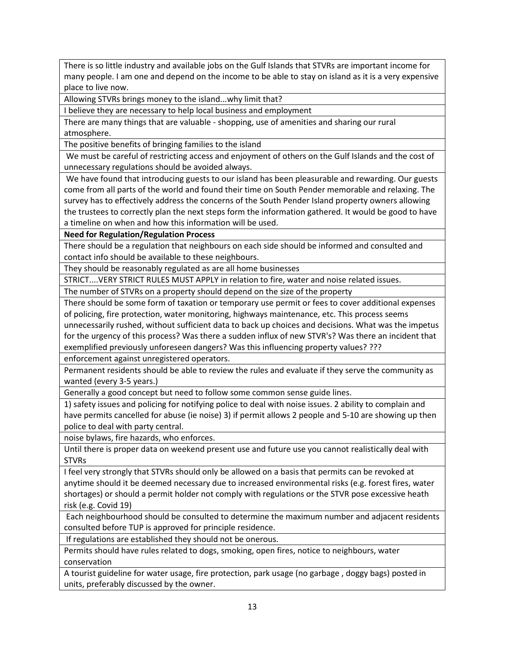There is so little industry and available jobs on the Gulf Islands that STVRs are important income for many people. I am one and depend on the income to be able to stay on island as it is a very expensive place to live now.

Allowing STVRs brings money to the island...why limit that?

I believe they are necessary to help local business and employment

There are many things that are valuable - shopping, use of amenities and sharing our rural atmosphere.

The positive benefits of bringing families to the island

We must be careful of restricting access and enjoyment of others on the Gulf Islands and the cost of unnecessary regulations should be avoided always.

We have found that introducing guests to our island has been pleasurable and rewarding. Our guests come from all parts of the world and found their time on South Pender memorable and relaxing. The survey has to effectively address the concerns of the South Pender Island property owners allowing the trustees to correctly plan the next steps form the information gathered. It would be good to have a timeline on when and how this information will be used.

**Need for Regulation/Regulation Process**

There should be a regulation that neighbours on each side should be informed and consulted and contact info should be available to these neighbours.

They should be reasonably regulated as are all home businesses

STRICT....VERY STRICT RULES MUST APPLY in relation to fire, water and noise related issues.

The number of STVRs on a property should depend on the size of the property

There should be some form of taxation or temporary use permit or fees to cover additional expenses of policing, fire protection, water monitoring, highways maintenance, etc. This process seems unnecessarily rushed, without sufficient data to back up choices and decisions. What was the impetus for the urgency of this process? Was there a sudden influx of new STVR's? Was there an incident that exemplified previously unforeseen dangers? Was this influencing property values? ???

enforcement against unregistered operators.

Permanent residents should be able to review the rules and evaluate if they serve the community as wanted (every 3-5 years.)

Generally a good concept but need to follow some common sense guide lines.

1) safety issues and policing for notifying police to deal with noise issues. 2 ability to complain and have permits cancelled for abuse (ie noise) 3) if permit allows 2 people and 5-10 are showing up then police to deal with party central.

noise bylaws, fire hazards, who enforces.

Until there is proper data on weekend present use and future use you cannot realistically deal with **STVRs** 

I feel very strongly that STVRs should only be allowed on a basis that permits can be revoked at anytime should it be deemed necessary due to increased environmental risks (e.g. forest fires, water shortages) or should a permit holder not comply with regulations or the STVR pose excessive heath risk (e.g. Covid 19)

Each neighbourhood should be consulted to determine the maximum number and adjacent residents consulted before TUP is approved for principle residence.

If regulations are established they should not be onerous.

Permits should have rules related to dogs, smoking, open fires, notice to neighbours, water conservation

A tourist guideline for water usage, fire protection, park usage (no garbage , doggy bags) posted in units, preferably discussed by the owner.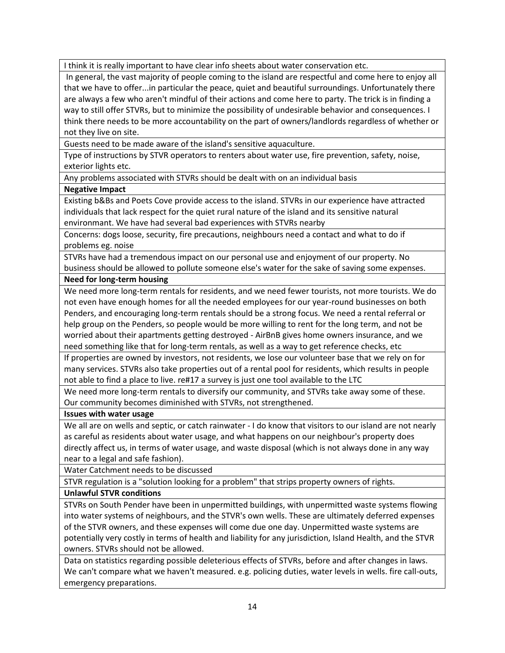I think it is really important to have clear info sheets about water conservation etc.

In general, the vast majority of people coming to the island are respectful and come here to enjoy all that we have to offer...in particular the peace, quiet and beautiful surroundings. Unfortunately there are always a few who aren't mindful of their actions and come here to party. The trick is in finding a way to still offer STVRs, but to minimize the possibility of undesirable behavior and consequences. I think there needs to be more accountability on the part of owners/landlords regardless of whether or not they live on site.

Guests need to be made aware of the island's sensitive aquaculture.

Type of instructions by STVR operators to renters about water use, fire prevention, safety, noise, exterior lights etc.

Any problems associated with STVRs should be dealt with on an individual basis

# **Negative Impact**

Existing b&Bs and Poets Cove provide access to the island. STVRs in our experience have attracted individuals that lack respect for the quiet rural nature of the island and its sensitive natural environmant. We have had several bad experiences with STVRs nearby

Concerns: dogs loose, security, fire precautions, neighbours need a contact and what to do if problems eg. noise

STVRs have had a tremendous impact on our personal use and enjoyment of our property. No business should be allowed to pollute someone else's water for the sake of saving some expenses.

# **Need for long-term housing**

We need more long-term rentals for residents, and we need fewer tourists, not more tourists. We do not even have enough homes for all the needed employees for our year-round businesses on both Penders, and encouraging long-term rentals should be a strong focus. We need a rental referral or help group on the Penders, so people would be more willing to rent for the long term, and not be worried about their apartments getting destroyed - AirBnB gives home owners insurance, and we need something like that for long-term rentals, as well as a way to get reference checks, etc

If properties are owned by investors, not residents, we lose our volunteer base that we rely on for many services. STVRs also take properties out of a rental pool for residents, which results in people not able to find a place to live. re#17 a survey is just one tool available to the LTC

We need more long-term rentals to diversify our community, and STVRs take away some of these. Our community becomes diminished with STVRs, not strengthened.

## **Issues with water usage**

We all are on wells and septic, or catch rainwater - I do know that visitors to our island are not nearly as careful as residents about water usage, and what happens on our neighbour's property does directly affect us, in terms of water usage, and waste disposal (which is not always done in any way near to a legal and safe fashion).

Water Catchment needs to be discussed

STVR regulation is a "solution looking for a problem" that strips property owners of rights.

**Unlawful STVR conditions**

STVRs on South Pender have been in unpermitted buildings, with unpermitted waste systems flowing into water systems of neighbours, and the STVR's own wells. These are ultimately deferred expenses of the STVR owners, and these expenses will come due one day. Unpermitted waste systems are potentially very costly in terms of health and liability for any jurisdiction, Island Health, and the STVR owners. STVRs should not be allowed.

Data on statistics regarding possible deleterious effects of STVRs, before and after changes in laws. We can't compare what we haven't measured. e.g. policing duties, water levels in wells. fire call-outs, emergency preparations.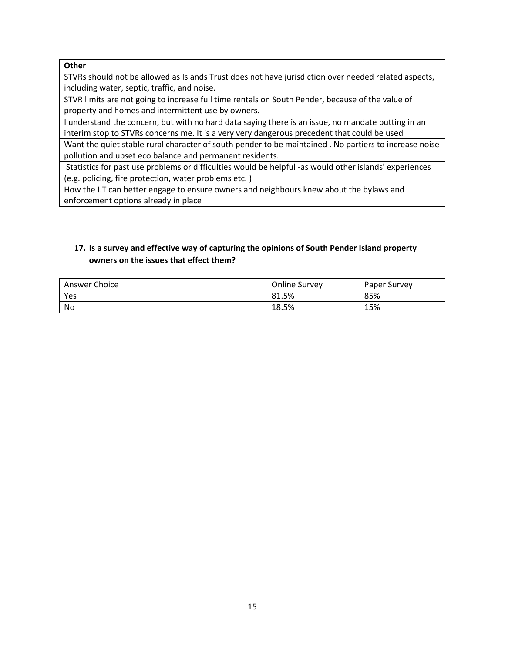## **Other**

STVRs should not be allowed as Islands Trust does not have jurisdiction over needed related aspects, including water, septic, traffic, and noise.

STVR limits are not going to increase full time rentals on South Pender, because of the value of property and homes and intermittent use by owners.

I understand the concern, but with no hard data saying there is an issue, no mandate putting in an interim stop to STVRs concerns me. It is a very very dangerous precedent that could be used

Want the quiet stable rural character of south pender to be maintained . No partiers to increase noise pollution and upset eco balance and permanent residents.

Statistics for past use problems or difficulties would be helpful -as would other islands' experiences (e.g. policing, fire protection, water problems etc. )

How the I.T can better engage to ensure owners and neighbours knew about the bylaws and enforcement options already in place

# **17. Is a survey and effective way of capturing the opinions of South Pender Island property owners on the issues that effect them?**

| Answer Choice | <b>Online Survey</b> | <b>Paper Survey</b> |  |
|---------------|----------------------|---------------------|--|
| Yes           | 81.5%                | 85%                 |  |
| No            | 18.5%                | 15%                 |  |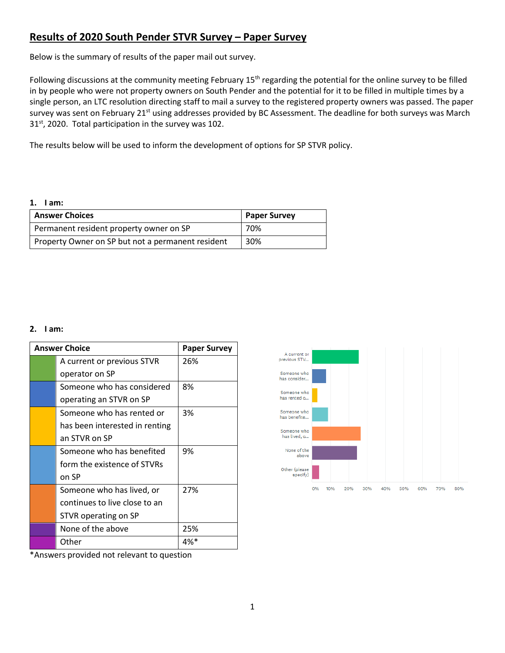# **Results of 2020 South Pender STVR Survey – Paper Survey**

Below is the summary of results of the paper mail out survey.

Following discussions at the community meeting February  $15<sup>th</sup>$  regarding the potential for the online survey to be filled in by people who were not property owners on South Pender and the potential for it to be filled in multiple times by a single person, an LTC resolution directing staff to mail a survey to the registered property owners was passed. The paper survey was sent on February 21<sup>st</sup> using addresses provided by BC Assessment. The deadline for both surveys was March  $31<sup>st</sup>$ , 2020. Total participation in the survey was 102.

The results below will be used to inform the development of options for SP STVR policy.

| <b>Answer Choices</b>                             | <b>Paper Survey</b> |
|---------------------------------------------------|---------------------|
| Permanent resident property owner on SP           | 70%                 |
| Property Owner on SP but not a permanent resident | 30%                 |

## **2. I am:**

| <b>Answer Choice</b> |                                | <b>Paper Survey</b> |
|----------------------|--------------------------------|---------------------|
|                      | A current or previous STVR     | 26%                 |
|                      | operator on SP                 |                     |
|                      | Someone who has considered     | 8%                  |
|                      | operating an STVR on SP        |                     |
|                      | Someone who has rented or      | 3%                  |
|                      | has been interested in renting |                     |
|                      | an STVR on SP                  |                     |
|                      | Someone who has benefited      | 9%                  |
|                      | form the existence of STVRs    |                     |
|                      | on SP                          |                     |
|                      | Someone who has lived, or      | 27%                 |
|                      | continues to live close to an  |                     |
|                      | STVR operating on SP           |                     |
|                      | None of the above              | 25%                 |
|                      | Other                          | $4\%*$              |



\*Answers provided not relevant to question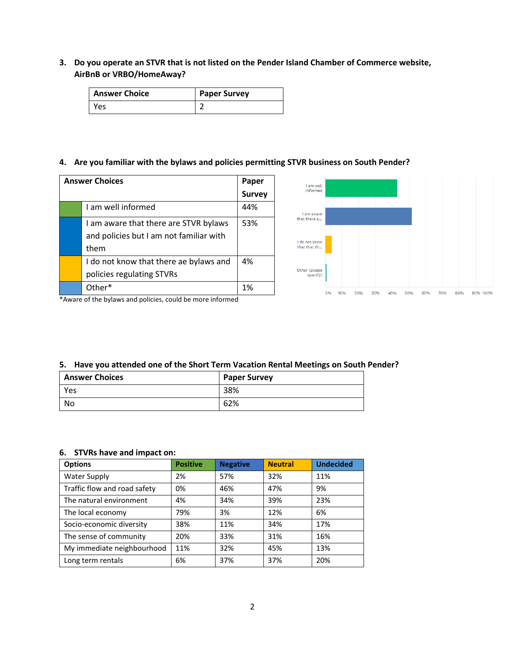**3. Do you operate an STVR that is not listed on the Pender Island Chamber of Commerce website, AirBnB or VRBO/HomeAway?**

| <b>Answer Choice</b> | <b>Paper Survey</b> |
|----------------------|---------------------|
| Yes                  |                     |

## **4. Are you familiar with the bylaws and policies permitting STVR business on South Pender?**

| <b>Answer Choices</b> |                                         | Paper         |
|-----------------------|-----------------------------------------|---------------|
|                       |                                         | <b>Survey</b> |
|                       | I am well informed                      | 44%           |
|                       | I am aware that there are STVR bylaws   | 53%           |
|                       | and policies but I am not familiar with |               |
|                       | them                                    |               |
|                       | I do not know that there ae bylaws and  | 4%            |
|                       | policies regulating STVRs               |               |
|                       | $[O]$ ther*                             | 1%            |



\*Aware of the bylaws and policies, could be more informed

## **5. Have you attended one of the Short Term Vacation Rental Meetings on South Pender?**

| <b>Answer Choices</b> | <b>Paper Survey</b> |
|-----------------------|---------------------|
| Yes                   | 38%                 |
| No                    | 62%                 |

## **6. STVRs have and impact on:**

| <b>Options</b>               | <b>Positive</b> | <b>Negative</b> | <b>Neutral</b> | <b>Undecided</b> |
|------------------------------|-----------------|-----------------|----------------|------------------|
| Water Supply                 | 2%              | 57%             | 32%            | 11%              |
| Traffic flow and road safety | 0%              | 46%             | 47%            | 9%               |
| The natural environment      | 4%              | 34%             | 39%            | 23%              |
| The local economy            | 79%             | 3%              | 12%            | 6%               |
| Socio-economic diversity     | 38%             | 11%             | 34%            | 17%              |
| The sense of community       | 20%             | 33%             | 31%            | 16%              |
| My immediate neighbourhood   | 11%             | 32%             | 45%            | 13%              |
| Long term rentals            | 6%              | 37%             | 37%            | 20%              |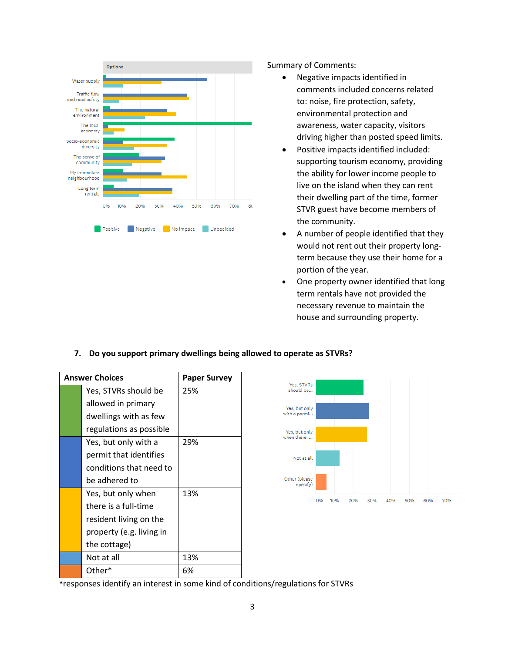

Summary of Comments:

- Negative impacts identified in comments included concerns related to: noise, fire protection, safety, environmental protection and awareness, water capacity, visitors driving higher than posted speed limits.
- Positive impacts identified included: supporting tourism economy, providing the ability for lower income people to live on the island when they can rent their dwelling part of the time, former STVR guest have become members of the community.
- A number of people identified that they would not rent out their property longterm because they use their home for a portion of the year.
- One property owner identified that long term rentals have not provided the necessary revenue to maintain the house and surrounding property.

## **7. Do you support primary dwellings being allowed to operate as STVRs?**

| <b>Answer Choices</b>    | <b>Paper Survey</b> |
|--------------------------|---------------------|
| Yes, STVRs should be     | 25%                 |
| allowed in primary       |                     |
| dwellings with as few    |                     |
| regulations as possible  |                     |
| Yes, but only with a     | 29%                 |
| permit that identifies   |                     |
| conditions that need to  |                     |
| be adhered to            |                     |
| Yes, but only when       | 13%                 |
| there is a full-time     |                     |
| resident living on the   |                     |
| property (e.g. living in |                     |
| the cottage)             |                     |
| Not at all               | 13%                 |
| Other*                   | 6%                  |



**\***responses identify an interest in some kind of conditions/regulations for STVRs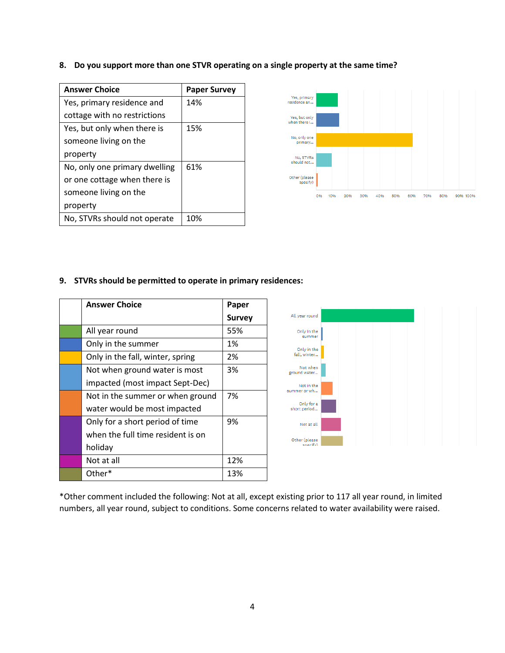|  | 8. Do you support more than one STVR operating on a single property at the same time? |  |  |  |
|--|---------------------------------------------------------------------------------------|--|--|--|
|--|---------------------------------------------------------------------------------------|--|--|--|

| <b>Answer Choice</b>          | <b>Paper Survey</b> |
|-------------------------------|---------------------|
| Yes, primary residence and    | 14%                 |
| cottage with no restrictions  |                     |
| Yes, but only when there is   | 15%                 |
| someone living on the         |                     |
| property                      |                     |
| No, only one primary dwelling | 61%                 |
| or one cottage when there is  |                     |
| someone living on the         |                     |
| property                      |                     |
| No, STVRs should not operate  | 10%                 |



## **9. STVRs should be permitted to operate in primary residences:**

| <b>Answer Choice</b>              | Paper         |  |  |  |
|-----------------------------------|---------------|--|--|--|
|                                   | <b>Survey</b> |  |  |  |
| All year round                    | 55%           |  |  |  |
| Only in the summer                | 1%            |  |  |  |
| Only in the fall, winter, spring  | 2%            |  |  |  |
| Not when ground water is most     | 3%            |  |  |  |
| impacted (most impact Sept-Dec)   |               |  |  |  |
| Not in the summer or when ground  | 7%            |  |  |  |
| water would be most impacted      |               |  |  |  |
| Only for a short period of time   | 9%            |  |  |  |
| when the full time resident is on |               |  |  |  |
| holiday                           |               |  |  |  |
| Not at all                        | 12%           |  |  |  |
| Other*                            | 13%           |  |  |  |



\*Other comment included the following: Not at all, except existing prior to 117 all year round, in limited numbers, all year round, subject to conditions. Some concerns related to water availability were raised.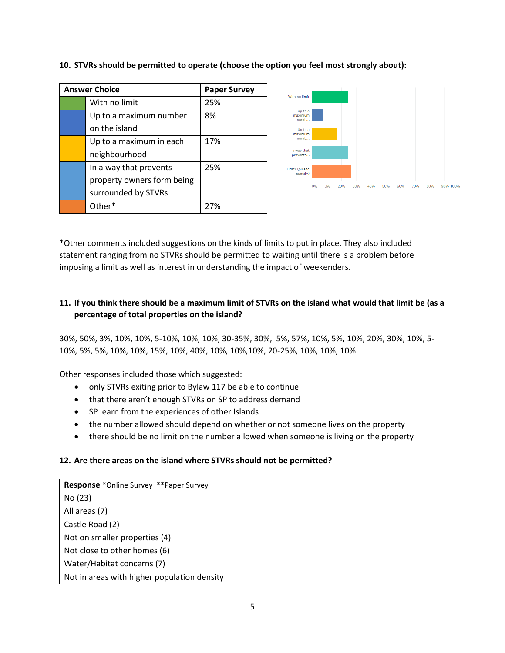| <b>Answer Choice</b>       | <b>Paper Survey</b> |  |  |  |  |  |
|----------------------------|---------------------|--|--|--|--|--|
| With no limit              | 25%                 |  |  |  |  |  |
| Up to a maximum number     | 8%                  |  |  |  |  |  |
| on the island              |                     |  |  |  |  |  |
| Up to a maximum in each    | 17%                 |  |  |  |  |  |
| neighbourhood              |                     |  |  |  |  |  |
| In a way that prevents     | 25%                 |  |  |  |  |  |
| property owners form being |                     |  |  |  |  |  |
| surrounded by STVRs        |                     |  |  |  |  |  |
| Other*                     | 27%                 |  |  |  |  |  |



# **10. STVRs should be permitted to operate (choose the option you feel most strongly about):**

\*Other comments included suggestions on the kinds of limits to put in place. They also included statement ranging from no STVRs should be permitted to waiting until there is a problem before imposing a limit as well as interest in understanding the impact of weekenders.

# **11. If you think there should be a maximum limit of STVRs on the island what would that limit be (as a percentage of total properties on the island?**

30%, 50%, 3%, 10%, 10%, 5-10%, 10%, 10%, 30-35%, 30%, 5%, 57%, 10%, 5%, 10%, 20%, 30%, 10%, 5- 10%, 5%, 5%, 10%, 10%, 15%, 10%, 40%, 10%, 10%,10%, 20-25%, 10%, 10%, 10%

Other responses included those which suggested:

- only STVRs exiting prior to Bylaw 117 be able to continue
- that there aren't enough STVRs on SP to address demand
- SP learn from the experiences of other Islands
- the number allowed should depend on whether or not someone lives on the property
- there should be no limit on the number allowed when someone is living on the property

## **12. Are there areas on the island where STVRs should not be permitted?**

| <b>Response</b> *Online Survey **Paper Survey |  |  |  |  |
|-----------------------------------------------|--|--|--|--|
| No (23)                                       |  |  |  |  |
| All areas (7)                                 |  |  |  |  |
| Castle Road (2)                               |  |  |  |  |
| Not on smaller properties (4)                 |  |  |  |  |
| Not close to other homes (6)                  |  |  |  |  |
| Water/Habitat concerns (7)                    |  |  |  |  |
| Not in areas with higher population density   |  |  |  |  |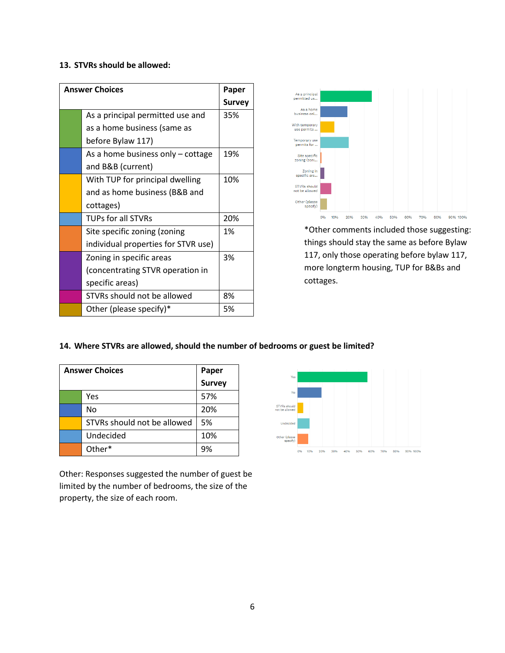# **13. STVRs should be allowed:**

| <b>Answer Choices</b> | Paper                               |     |  |  |  |  |
|-----------------------|-------------------------------------|-----|--|--|--|--|
|                       | <b>Survey</b>                       |     |  |  |  |  |
|                       | As a principal permitted use and    |     |  |  |  |  |
|                       | as a home business (same as         |     |  |  |  |  |
|                       | before Bylaw 117)                   |     |  |  |  |  |
|                       | As a home business only – cottage   | 19% |  |  |  |  |
|                       | and B&B (current)                   |     |  |  |  |  |
|                       | With TUP for principal dwelling     | 10% |  |  |  |  |
|                       | and as home business (B&B and       |     |  |  |  |  |
|                       | cottages)                           |     |  |  |  |  |
|                       | <b>TUPs for all STVRs</b>           | 20% |  |  |  |  |
|                       | Site specific zoning (zoning        | 1%  |  |  |  |  |
|                       | individual properties for STVR use) |     |  |  |  |  |
|                       | Zoning in specific areas            | 3%  |  |  |  |  |
|                       | (concentrating STVR operation in    |     |  |  |  |  |
|                       | specific areas)                     |     |  |  |  |  |
|                       | STVRs should not be allowed         | 8%  |  |  |  |  |
|                       | Other (please specify)*             | 5%  |  |  |  |  |



\*Other comments included those suggesting: things should stay the same as before Bylaw 117, only those operating before bylaw 117, more longterm housing, TUP for B&Bs and cottages.

## **14. Where STVRs are allowed, should the number of bedrooms or guest be limited?**

| <b>Answer Choices</b> | Paper                       |        |
|-----------------------|-----------------------------|--------|
|                       |                             | Survey |
|                       | Yes                         | 57%    |
|                       | No                          | 20%    |
|                       | STVRs should not be allowed | 5%     |
|                       | Undecided                   | 10%    |
|                       | Other*                      | 9%     |

Other: Responses suggested the number of guest be limited by the number of bedrooms, the size of the property, the size of each room.